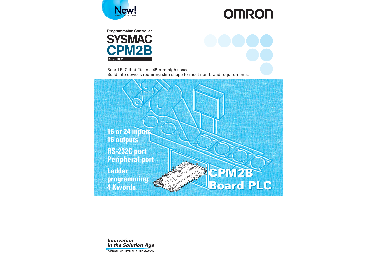

# **OMRON**



Board PLC that fits in a 45-mm high space. Build into devices requiring slim shape to meet non-brand requirements.





**OMRON INDUSTRIAL AUTOMATION**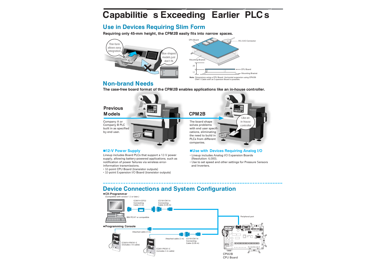## **Capabilitie s Exceeding Earlier PLC s**

## **Use in Devices Requiring Slim Form**

**Requiring only 45-mm height, the CPM2B easily fits into narrow spaces.**





**Note**: Dimensions using a CPU Board. Horizontal expansion using CPM2B- CN411 Cable with an Expansion Board is possible.

## **Non-brand Needs**

**The case-free board format of the CPM2B enables applications like an in-house controller.**



#### **12-V Power Supply**

Lineup includes Board PLCs that support a 12-V power supply, allowing battery-powered applications, such as notification of power failures via wireless errorinformation transmissions.

- 32-point CPU Board (transistor outputs)
- 32-point Expansion I/O Board (transistor outputs)

#### **Use with Devices Requiring Analog I/O**

- Lineup includes Analog I/O Expansion Boards (Resolution: 6,000).
- Use to set speed and other settings for Pressure Sensors and Inverters.

## **Device Connections and System Configuration**

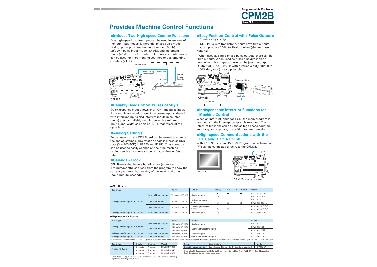

## **Provides Machine Control Functions**

#### **Includes Two High-speed Counter Functions**

One high-speed counter input can be used in any one of the four input modes: Differential phase pulse mode (5 kHz), pulse plus direction input mode (20 kHz), up/down pulse input mode (20 kHz), and increment mode (20 kHz). The four interrupt inputs in counter mode can be used for incrementing counters or decrementing counters (2 kHz).



#### **Reliably Reads Short Pulses of 50 µs**

Quick-response input allows short ON-time pulse input. Four inputs are used for quick-response inputs (shared with interrupt inputs and interrupt inputs in counter mode) that can reliably read inputs with a minimum input signal width as short as 50 µs, regardless of the cycle time.

#### **Analog Settings**

**PT Using a** 1:1 NT Link the analog settings. The rotation angle is stored as BCD data (0 to 200 BCD) in IR 250 and IR 251. These controls can be used to easily change or fine-tune machine settings such as a conveyor belt's pause time or feed rate.

#### **Calendar/ Clock**

CPU Boards that have a built-in clock (accuracy: 1 minute/month), can read from the program to show the current year, month, day, day of the week, and time (hour, minute, second).

#### (Transistor Outputs Only) **Easy Position Control with Pulse Outputs**

CPM2B PLCs with transistor outputs have two outputs that can produce 10-Hz to 10-kHz pulses (single-phase outputs).

• When used as single-phase pulse outputs, there can be two outputs. When used as pulse plus direction or up/down pulse outputs, there can be just one output. Output of 0.1 to 999.9 Hz with a variable duty ratio (0 to 100% duty ratio) is also possible.



#### **Indispensable Interrupt Functions for Machine Control**

When an interrupt input goes ON, the main program is stopped and the interrupt program is executed. The interrupt functions can be used as high-speed counters and for quick response, in addition to timer functions.

## **High-speed Communications with the**

With a 1:1 NT Link, an OMRON Programmable Terminal (PT) can be connected directly to the CPM2B.



CPM2B (with RS-232C port)

| Board type                            |                               | Inputs                       | Outputs               | Battery | <b>Clock</b> | RS-232C port | Model             |
|---------------------------------------|-------------------------------|------------------------------|-----------------------|---------|--------------|--------------|-------------------|
|                                       |                               |                              |                       |         |              |              | CPM2B-32C1DR-D    |
|                                       | <b>Terminal block outputs</b> | 16 inputs, $24 \text{ V}$ DC | 16 relay outputs      |         |              |              | CPM2B-32C2DR-D    |
| 32 I/O points (16 inputs, 16 outputs) |                               |                              | 16 sinking transistor |         |              |              | CPM2B-32C1DT-D    |
|                                       | Connector outputs             | 16 inputs, 24 V DC           | outputs               |         |              |              | CPM2B-32C2DT-D    |
|                                       |                               |                              | 16 sinking transistor |         |              |              | CPM2B-32C1D1T-D12 |
|                                       | <b>Connector outputs</b>      | 16 inputs, 12 V DC           | outputs               |         |              |              | CPM2B-32C2D1T-D12 |
| 40 I/O points (24 inputs, 16 outputs) | <b>Terminal block outputs</b> | 24 inputs, 24 V DC           | 16 relay outputs      |         |              |              | CPM2B-40C2DR-D    |

| Board type                                                                                                                                                                                                    |                               | Inputs                                              | Outputs                       | Model       |
|---------------------------------------------------------------------------------------------------------------------------------------------------------------------------------------------------------------|-------------------------------|-----------------------------------------------------|-------------------------------|-------------|
|                                                                                                                                                                                                               | <b>Terminal block outputs</b> | 16 inputs, 24 V DC                                  | 16 relay outputs              | CPM2B-32EDR |
| 32 I/O points (16 inputs, 16 outputs)                                                                                                                                                                         | <b>Connector outputs</b>      | 16 inputs, 24 V DC                                  |                               | CPM2B-32FDT |
|                                                                                                                                                                                                               |                               | 16 sinking transistor outputs<br>16 inputs, 12 V DC | CPM2B-32ED1T                  |             |
| 40 I/O points (24 inputs, 16 outputs)                                                                                                                                                                         | <b>Terminal block outputs</b> | 24 inputs, 24 V DC                                  | 16 relay outputs              | CPM2B-40EDR |
| 64 I/O points (32 inputs, 32 outputs)                                                                                                                                                                         | <b>Connector outputs</b>      | 32 inputs, 24 V DC                                  | 32 sinking transistor outputs | CPM2B-64EDT |
| . A maximum of two CPM2B-64EDT 64-point Expansion I/O Boards can be connected, due to the current consumption. . Only one Expansion I/O Board can be connected if connecting an NT-AL001 to the RS-232C port. |                               |                                                     |                               |             |

| Board type       | Inputs   | Outputs   | Model       |
|------------------|----------|-----------|-------------|
|                  | 2 inputs | 1 output  | CPM2B-MAD21 |
| Analog I/O Board | 4 inputs | 2 outputs | CPM2B-MAD42 |
|                  | 6 inputs | 3 outputs | CPM2B-MAD63 |

| Cable                        | <b>Specifications</b>                           | Model       |
|------------------------------|-------------------------------------------------|-------------|
| <b>Board Expansion Cable</b> | Cable length: 400 mm (for horizontal expansion) | CPM2B-CN411 |
|                              |                                                 |             |

• Expansion I/O Boards are provided with 60-mm expansion cables. The CPM2B-CN411 Board Expansion Cable is not required for vertical expansion.

•Up to three Analog I/O Boards can be connected to the CPU Board, for 8 analog inputs and 4 analog outputs max.